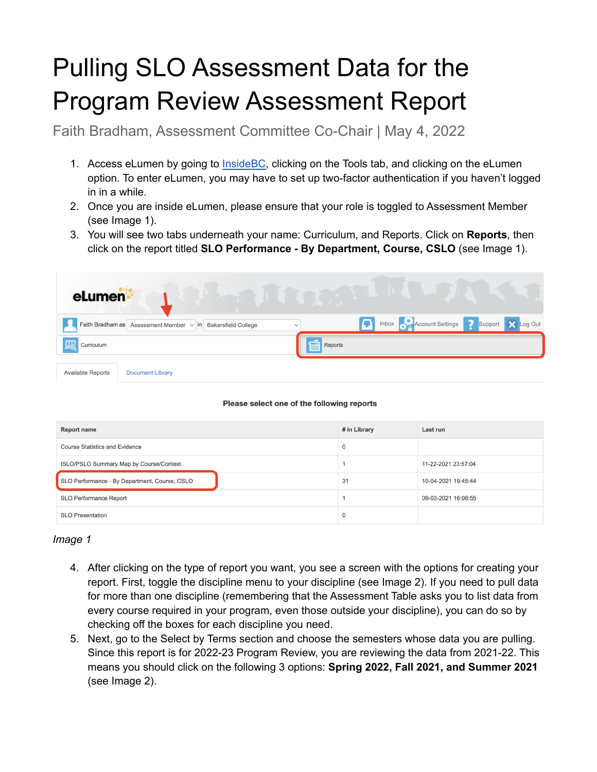## Pulling SLO Assessment Data for the Program Review Assessment Report

Faith Bradham, Assessment Committee Co-Chair | May 4, 2022

- 1. Access eLumen by going to **InsideBC**, clicking on the Tools tab, and clicking on the eLumen option. To enter eLumen, you may have to set up two-factor authentication if you haven't logged in in a while.
- 2. Once you are inside eLumen, please ensure that your role is toggled to Assessment Member (see Image 1).
- 3. You will see two tabs underneath your name: Curriculum, and Reports. Click on **Reports**, then click on the report titled **SLO Performance - By Department, Course, CSLO** (see Image 1).

| eLumen <sup>®</sup>                                                              |                                            |
|----------------------------------------------------------------------------------|--------------------------------------------|
| Faith Bradham as Assessment Member $\vee$ in Bakersfield College<br>$\checkmark$ | Inbox Account Settings 3 Support X Log Out |
| Curriculum                                                                       | É<br>Reports                               |
| Available Reports<br><b>Document Library</b>                                     |                                            |

## Please select one of the following reports

| <b>Report name</b>                            | # in Library | Last run            |  |
|-----------------------------------------------|--------------|---------------------|--|
| <b>Course Statistics and Evidence</b>         | 0            |                     |  |
| ISLO/PSLO Summary Map by Course/Context       |              | 11-22-2021 23:57:04 |  |
| SLO Performance - By Department, Course, CSLO | 31           | 10-04-2021 19:45:44 |  |
| SLO Performance Report                        |              | 09-03-2021 16:06:55 |  |
| <b>SLO Presentation</b>                       | 0            |                     |  |

## *Image 1*

- 4. After clicking on the type of report you want, you see a screen with the options for creating your report. First, toggle the discipline menu to your discipline (see Image 2). If you need to pull data for more than one discipline (remembering that the Assessment Table asks you to list data from every course required in your program, even those outside your discipline), you can do so by checking off the boxes for each discipline you need.
- 5. Next, go to the Select by Terms section and choose the semesters whose data you are pulling. Since this report is for 2022-23 Program Review, you are reviewing the data from 2021-22. This means you should click on the following 3 options: **Spring 2022, Fall 2021, and Summer 2021** (see Image 2).